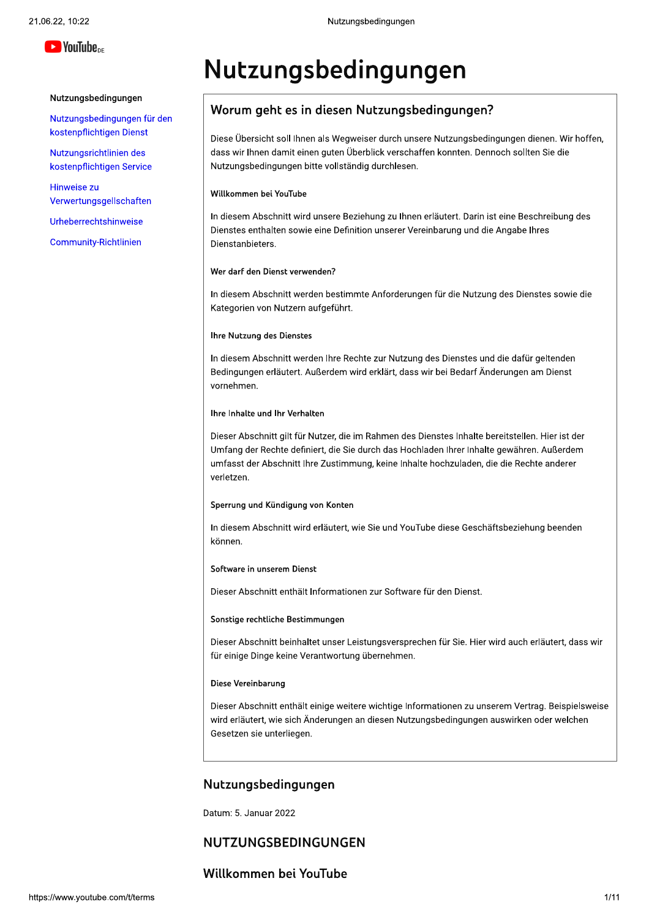# **D** YouTube<sub>DE</sub>

#### Nutzungsbedingungen

Nutzungsbedingungen für den kostenpflichtigen Dienst

Nutzungsrichtlinien des kostenpflichtigen Service

Hinweise zu Verwertungsgellschaften

Urheberrechtshinweise

**Community-Richtlinien** 

# Nutzungsbedingungen

# Worum geht es in diesen Nutzungsbedingungen?

Diese Übersicht soll Ihnen als Wegweiser durch unsere Nutzungsbedingungen dienen. Wir hoffen, dass wir Ihnen damit einen guten Überblick verschaffen konnten. Dennoch sollten Sie die Nutzungsbedingungen bitte vollständig durchlesen.

#### Willkommen bei YouTube

In diesem Abschnitt wird unsere Beziehung zu Ihnen erläutert. Darin ist eine Beschreibung des Dienstes enthalten sowie eine Definition unserer Vereinbarung und die Angabe Ihres Dienstanbieters.

### Wer darf den Dienst verwenden?

In diesem Abschnitt werden bestimmte Anforderungen für die Nutzung des Dienstes sowie die Kategorien von Nutzern aufgeführt.

#### Ihre Nutzung des Dienstes

In diesem Abschnitt werden Ihre Rechte zur Nutzung des Dienstes und die dafür geltenden Bedingungen erläutert. Außerdem wird erklärt, dass wir bei Bedarf Änderungen am Dienst vornehmen.

### Ihre Inhalte und Ihr Verhalten

Dieser Abschnitt gilt für Nutzer, die im Rahmen des Dienstes Inhalte bereitstellen. Hier ist der Umfang der Rechte definiert, die Sie durch das Hochladen Ihrer Inhalte gewähren. Außerdem umfasst der Abschnitt Ihre Zustimmung, keine Inhalte hochzuladen, die die Rechte anderer verletzen.

#### Sperrung und Kündigung von Konten

In diesem Abschnitt wird erläutert, wie Sie und YouTube diese Geschäftsbeziehung beenden können.

#### Software in unserem Dienst

Dieser Abschnitt enthält Informationen zur Software für den Dienst.

### Sonstige rechtliche Bestimmungen

Dieser Abschnitt beinhaltet unser Leistungsversprechen für Sie. Hier wird auch erläutert, dass wir für einige Dinge keine Verantwortung übernehmen.

#### Diese Vereinbarung

Dieser Abschnitt enthält einige weitere wichtige Informationen zu unserem Vertrag. Beispielsweise wird erläutert, wie sich Änderungen an diesen Nutzungsbedingungen auswirken oder welchen Gesetzen sie unterliegen.

# Nutzungsbedingungen

Datum: 5. Januar 2022

# NUTZUNGSBEDINGUNGEN

# Willkommen bei YouTube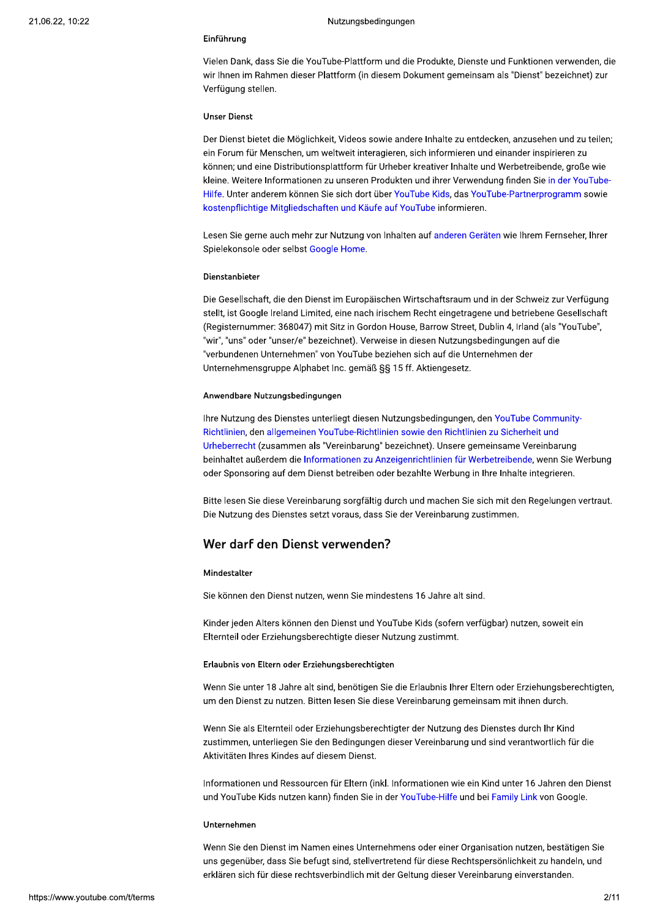#### Einführung

Vielen Dank, dass Sie die YouTube-Plattform und die Produkte, Dienste und Funktionen verwenden, die wir Ihnen im Rahmen dieser Plattform (in diesem Dokument gemeinsam als "Dienst" bezeichnet) zur Verfügung stellen.

#### **Unser Dienst**

Der Dienst bietet die Möglichkeit, Videos sowie andere Inhalte zu entdecken, anzusehen und zu teilen; ein Forum für Menschen, um weltweit interagieren, sich informieren und einander inspirieren zu können; und eine Distributionsplattform für Urheber kreativer Inhalte und Werbetreibende, große wie kleine. Weitere Informationen zu unseren Produkten und ihrer Verwendung finden Sie in der YouTube-Hilfe. Unter anderem können Sie sich dort über YouTube Kids, das YouTube-Partnerprogramm sowie kostenpflichtige Mitgliedschaften und Käufe auf YouTube informieren.

Lesen Sie gerne auch mehr zur Nutzung von Inhalten auf anderen Geräten wie Ihrem Fernseher, Ihrer Spielekonsole oder selbst Google Home.

#### Dienstanbieter

Die Gesellschaft, die den Dienst im Europäischen Wirtschaftsraum und in der Schweiz zur Verfügung stellt, ist Google Ireland Limited, eine nach irischem Recht eingetragene und betriebene Gesellschaft (Registernummer: 368047) mit Sitz in Gordon House, Barrow Street, Dublin 4, Irland (als "YouTube", "wir", "uns" oder "unser/e" bezeichnet). Verweise in diesen Nutzungsbedingungen auf die "verbundenen Unternehmen" von YouTube beziehen sich auf die Unternehmen der Unternehmensgruppe Alphabet Inc. gemäß §§ 15 ff. Aktiengesetz.

#### Anwendbare Nutzungsbedingungen

Ihre Nutzung des Dienstes unterliegt diesen Nutzungsbedingungen, den YouTube Community-Richtlinien, den allgemeinen YouTube-Richtlinien sowie den Richtlinien zu Sicherheit und Urheberrecht (zusammen als "Vereinbarung" bezeichnet). Unsere gemeinsame Vereinbarung beinhaltet außerdem die Informationen zu Anzeigenrichtlinien für Werbetreibende, wenn Sie Werbung oder Sponsoring auf dem Dienst betreiben oder bezahlte Werbung in Ihre Inhalte integrieren.

Bitte lesen Sie diese Vereinbarung sorgfältig durch und machen Sie sich mit den Regelungen vertraut. Die Nutzung des Dienstes setzt voraus, dass Sie der Vereinbarung zustimmen.

# Wer darf den Dienst verwenden?

#### Mindestalter

Sie können den Dienst nutzen, wenn Sie mindestens 16 Jahre alt sind.

Kinder jeden Alters können den Dienst und YouTube Kids (sofern verfügbar) nutzen, soweit ein Elternteil oder Erziehungsberechtigte dieser Nutzung zustimmt.

#### Erlaubnis von Eltern oder Erziehungsberechtigten

Wenn Sie unter 18 Jahre alt sind, benötigen Sie die Erlaubnis Ihrer Eltern oder Erziehungsberechtigten, um den Dienst zu nutzen. Bitten lesen Sie diese Vereinbarung gemeinsam mit ihnen durch.

Wenn Sie als Elternteil oder Erziehungsberechtigter der Nutzung des Dienstes durch Ihr Kind zustimmen, unterliegen Sie den Bedingungen dieser Vereinbarung und sind verantwortlich für die Aktivitäten Ihres Kindes auf diesem Dienst.

Informationen und Ressourcen für Eltern (inkl. Informationen wie ein Kind unter 16 Jahren den Dienst und YouTube Kids nutzen kann) finden Sie in der YouTube-Hilfe und bei Family Link von Google.

#### Unternehmen

Wenn Sie den Dienst im Namen eines Unternehmens oder einer Organisation nutzen, bestätigen Sie uns gegenüber, dass Sie befugt sind, stellvertretend für diese Rechtspersönlichkeit zu handeln, und erklären sich für diese rechtsverbindlich mit der Geltung dieser Vereinbarung einverstanden.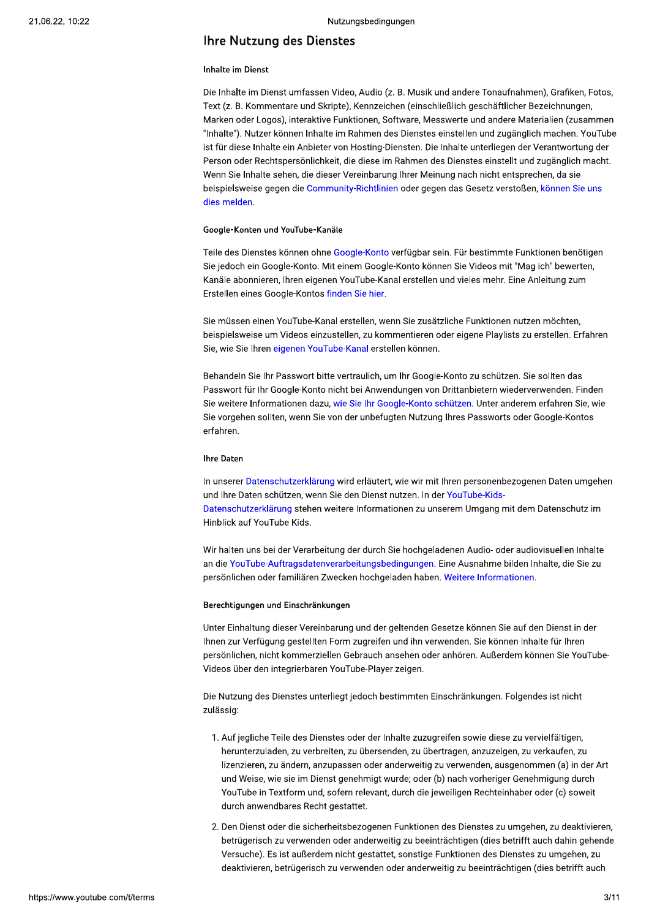Nutzungsbedingungen<br>
Ihre Nutzung des Dienstes<br>
Inhalte im Dienst<br>
Die Inhalte im Dienst umfassen Video, Audio (z. B. Musik und andere Tonaufnahmen), Grafiken, Fotos,<br>
Text (z. B. Kommentare und Skripte), Kennzeichen (eins beispielsweise gegen die Community-Richtlinien oder gegen das Gesetz verstoßen, können Sie uns dies melden. ist für diese Inhalte ein Anbieter von Hosting-Diensten. Die Inhalte unterliegen der Verantwortung der Person oder Rechtspersönlichkeit, die diese im Rahmen des Dienstes einstellt und zugänglich machi<br>Wenn Sie Inhalte sehe

Sie müssen einen YouTube-Kanal erstellen, wenn Sie zusätzliche Funktionen nutzen möchten. beispielsweise um Videos einzustellen, zu kommentieren oder eigene Playlists zu erstellen. Erfahren Sie, wie Sie Ihren eigenen YouTube-Kanal erstellen können.

Behandeln Sie Ihr Passwort bitte vertraulich, um Ihr Google-Konto zu schützen. Sie sollten das Passwort für Ihr Google-Konto nicht bei Anwendungen von Drittanbietern wiederverwenden. Finden Sie weitere Informationen dazu, wie Sie Ihr Google-Konto schützen. Unter anderem erfahren Sie, wie Sie vorgehen sollten, wenn Sie von der unbefugten Nutzung Ihres Passworts oder Google-Kontos erfahren.

### Ihre Daten

In unserer Datenschutzerklärung wird erläutert, wie wir mit Ihren personenbezogenen Daten umgehen und Ihre Daten schützen, wenn Sie den Dienst nutzen. In der YouTube-Kids-Datenschutzerklärung stehen weitere Informationen zu unserem Umgang mit dem Datenschutz im Hinblick auf YouTube Kids.

Wir halten uns bei der Verarbeitung der durch Sie hochgeladenen Audio- oder audiovisuellen Inhalte an die YouTube-Auftragsdatenverarbeitungsbedingungen. Eine Ausnahme bilden Inhalte, die Sie zu persönlichen oder familiären Zwecken hochgeladen haben. Weitere Informationen.

Hinblick auf YouTube Kids.<br>Wir halten uns bei der Verarbeitung der durch Sie hochgeladenen Audio- oder audiovisuellen Inhalte<br>an die YouTube-Auftragsdatenverarbeitungsbedingungen. Eine Ausnahme bilden Inhalte, die Sie zu<br>p

zulässig:

- 1. Auf jegliche Teile des Dienstes oder der Inhalte zuzugreifen sowie diese zu vervielfältigen, herunterzuladen, zu verbreiten, zu übersenden, zu übertragen, anzuzeigen, zu verkaufen, zu lizenzieren, zu ändern, anzupassen oder anderweitig zu verwenden, ausgenommen (a) in der Art und Weise, wie sie im Dienst genehmigt wurde; oder (b) nach vorheriger Genehmigung durch YouTube in Textform und, sofern relevant, durch die jeweiligen Rechteinhaber oder (c) soweit durch anwendbares Recht gestattet.
- 2. Den Dienst oder die sicherheitsbezogenen Funktionen des Dienstes zu umgehen, zu deaktivieren, betrügerisch zu verwenden oder anderweitig zu beeinträchtigen (dies betrifft auch dahin gehende Versuche). Es ist außerdem nicht gestattet, sonstige Funktionen des Dienstes zu umgehen, zu deaktivieren, betrügerisch zu verwenden oder anderweitig zu beeinträchtigen (dies betrifft auch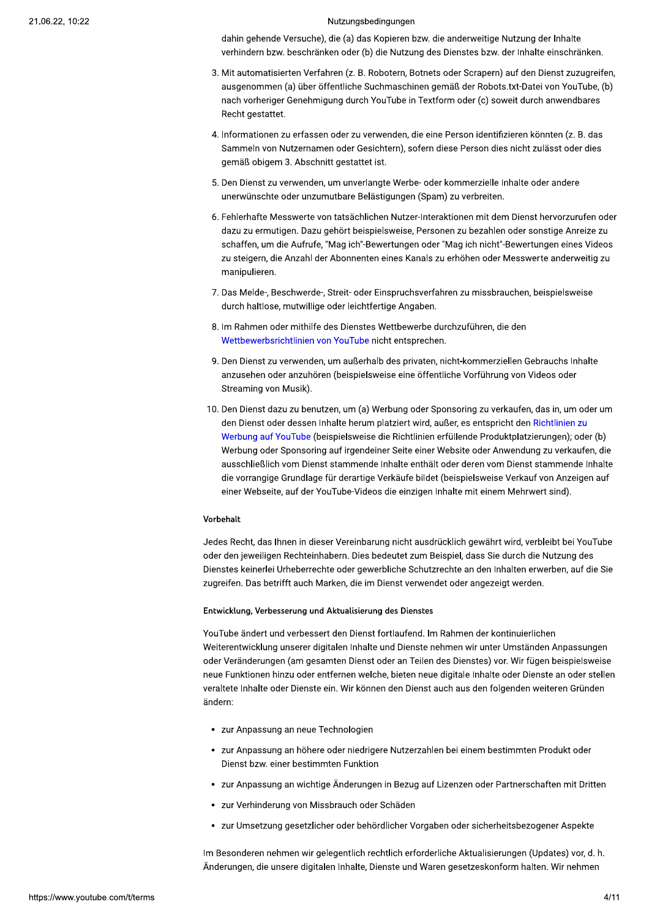dahin gehende Versuche), die (a) das Kopieren bzw. die anderweitige Nutzung der Inhalte verhindern bzw. beschränken oder (b) die Nutzung des Dienstes bzw. der Inhalte einschränken.

- 3. Mit automatisierten Verfahren (z. B. Robotern, Botnets oder Scrapern) auf den Dienst zuzugreifen, ausgenommen (a) über öffentliche Suchmaschinen gemäß der Robots.txt-Datei von YouTube, (b) nach vorheriger Genehmigung durch YouTube in Textform oder (c) soweit durch anwendbares Recht gestattet.
- 4. Informationen zu erfassen oder zu verwenden, die eine Person identifizieren könnten (z. B. das Sammeln von Nutzernamen oder Gesichtern), sofern diese Person dies nicht zulässt oder dies gemäß obigem 3. Abschnitt gestattet ist.
- 5. Den Dienst zu verwenden, um unverlangte Werbe- oder kommerzielle Inhalte oder andere unerwünschte oder unzumutbare Belästigungen (Spam) zu verbreiten.
- 6. Fehlerhafte Messwerte von tatsächlichen Nutzer-Interaktionen mit dem Dienst hervorzurufen oder dazu zu ermutigen. Dazu gehört beispielsweise, Personen zu bezahlen oder sonstige Anreize zu schaffen, um die Aufrufe, "Mag ich"-Bewertungen oder "Mag ich nicht"-Bewertungen eines Videos zu steigern, die Anzahl der Abonnenten eines Kanals zu erhöhen oder Messwerte anderweitig zu manipulieren.
- 7. Das Melde-, Beschwerde-, Streit- oder Einspruchsverfahren zu missbrauchen, beispielsweise durch haltlose, mutwillige oder leichtfertige Angaben.
- 8. Im Rahmen oder mithilfe des Dienstes Wettbewerbe durchzuführen, die den Wettbewerbsrichtlinien von YouTube nicht entsprechen.
- 9. Den Dienst zu verwenden, um außerhalb des privaten, nicht-kommerziellen Gebrauchs Inhalte anzusehen oder anzuhören (beispielsweise eine öffentliche Vorführung von Videos oder Streaming von Musik).
- 10. Den Dienst dazu zu benutzen, um (a) Werbung oder Sponsoring zu verkaufen, das in, um oder um den Dienst oder dessen Inhalte herum platziert wird, außer, es entspricht den Richtlinien zu Werbung auf YouTube (beispielsweise die Richtlinien erfüllende Produktplatzierungen); oder (b) Werbung oder Sponsoring auf irgendeiner Seite einer Website oder Anwendung zu verkaufen, die ausschließlich vom Dienst stammende Inhalte enthält oder deren vom Dienst stammende Inhalte die vorrangige Grundlage für derartige Verkäufe bildet (beispielsweise Verkauf von Anzeigen auf einer Webseite, auf der YouTube-Videos die einzigen Inhalte mit einem Mehrwert sind).

#### Vorbehalt

Jedes Recht, das Ihnen in dieser Vereinbarung nicht ausdrücklich gewährt wird, verbleibt bei YouTube oder den jeweiligen Rechteinhabern. Dies bedeutet zum Beispiel, dass Sie durch die Nutzung des Dienstes keinerlei Urheberrechte oder gewerbliche Schutzrechte an den Inhalten erwerben, auf die Sie zugreifen. Das betrifft auch Marken, die im Dienst verwendet oder angezeigt werden.

#### Entwicklung, Verbesserung und Aktualisierung des Dienstes

YouTube ändert und verbessert den Dienst fortlaufend. Im Rahmen der kontinuierlichen Weiterentwicklung unserer digitalen Inhalte und Dienste nehmen wir unter Umständen Anpassungen oder Veränderungen (am gesamten Dienst oder an Teilen des Dienstes) vor. Wir fügen beispielsweise neue Funktionen hinzu oder entfernen welche, bieten neue digitale Inhalte oder Dienste an oder stellen veraltete Inhalte oder Dienste ein. Wir können den Dienst auch aus den folgenden weiteren Gründen ändern:

- zur Anpassung an neue Technologien
- zur Anpassung an höhere oder niedrigere Nutzerzahlen bei einem bestimmten Produkt oder Dienst bzw. einer bestimmten Funktion
- · zur Anpassung an wichtige Änderungen in Bezug auf Lizenzen oder Partnerschaften mit Dritten
- zur Verhinderung von Missbrauch oder Schäden
- zur Umsetzung gesetzlicher oder behördlicher Vorgaben oder sicherheitsbezogener Aspekte

Im Besonderen nehmen wir gelegentlich rechtlich erforderliche Aktualisierungen (Updates) vor, d. h. Änderungen, die unsere digitalen Inhalte, Dienste und Waren gesetzeskonform halten. Wir nehmen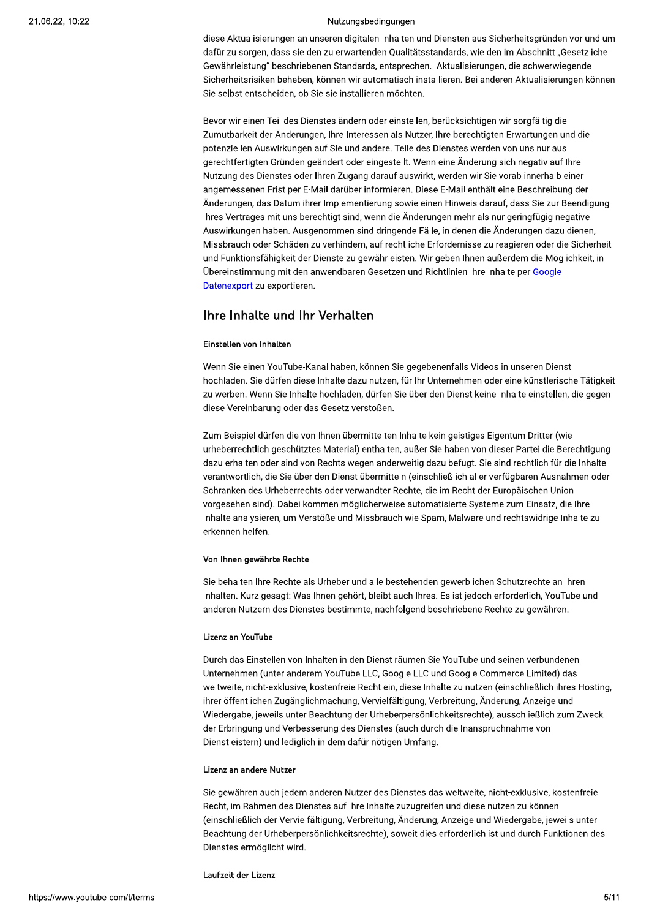diese Aktualisierungen an unseren digitalen Inhalten und Diensten aus Sicherheitsgründen vor und um dafür zu sorgen, dass sie den zu erwartenden Qualitätsstandards, wie den im Abschnitt "Gesetzliche Gewährleistung" beschriebenen Standards, entsprechen. Aktualisierungen, die schwerwiegende Sicherheitsrisiken beheben, können wir automatisch installieren. Bei anderen Aktualisierungen können Sie selbst entscheiden, ob Sie sie installieren möchten.

Bevor wir einen Teil des Dienstes ändern oder einstellen, berücksichtigen wir sorgfältig die Zumutbarkeit der Änderungen, Ihre Interessen als Nutzer, Ihre berechtigten Erwartungen und die potenziellen Auswirkungen auf Sie und andere. Teile des Dienstes werden von uns nur aus gerechtfertigten Gründen geändert oder eingestellt. Wenn eine Änderung sich negativ auf Ihre Nutzung des Dienstes oder Ihren Zugang darauf auswirkt, werden wir Sie vorab innerhalb einer angemessenen Frist per E-Mail darüber informieren. Diese E-Mail enthält eine Beschreibung der Änderungen, das Datum ihrer Implementierung sowie einen Hinweis darauf, dass Sie zur Beendigung Ihres Vertrages mit uns berechtigt sind, wenn die Änderungen mehr als nur geringfügig negative Auswirkungen haben. Ausgenommen sind dringende Fälle, in denen die Änderungen dazu dienen, Missbrauch oder Schäden zu verhindern, auf rechtliche Erfordernisse zu reagieren oder die Sicherheit und Funktionsfähigkeit der Dienste zu gewährleisten. Wir geben Ihnen außerdem die Möglichkeit, in Übereinstimmung mit den anwendbaren Gesetzen und Richtlinien Ihre Inhalte per Google Datenexport zu exportieren.

# **Ihre Inhalte und Ihr Verhalten**

### Einstellen von Inhalten

Wenn Sie einen YouTube-Kanal haben, können Sie gegebenenfalls Videos in unseren Dienst hochladen. Sie dürfen diese Inhalte dazu nutzen, für Ihr Unternehmen oder eine künstlerische Tätigkeit zu werben. Wenn Sie Inhalte hochladen, dürfen Sie über den Dienst keine Inhalte einstellen, die gegen diese Vereinbarung oder das Gesetz verstoßen.

Zum Beispiel dürfen die von Ihnen übermittelten Inhalte kein geistiges Eigentum Dritter (wie urheberrechtlich geschütztes Material) enthalten, außer Sie haben von dieser Partei die Berechtigung dazu erhalten oder sind von Rechts wegen anderweitig dazu befugt. Sie sind rechtlich für die Inhalte verantwortlich, die Sie über den Dienst übermitteln (einschließlich aller verfügbaren Ausnahmen oder Schranken des Urheberrechts oder verwandter Rechte, die im Recht der Europäischen Union vorgesehen sind). Dabei kommen möglicherweise automatisierte Systeme zum Einsatz, die Ihre Inhalte analysieren, um Verstöße und Missbrauch wie Spam, Malware und rechtswidrige Inhalte zu erkennen helfen.

#### Von Ihnen gewährte Rechte

Sie behalten Ihre Rechte als Urheber und alle bestehenden gewerblichen Schutzrechte an Ihren Inhalten. Kurz gesagt: Was Ihnen gehört, bleibt auch Ihres. Es ist jedoch erforderlich, YouTube und anderen Nutzern des Dienstes bestimmte, nachfolgend beschriebene Rechte zu gewähren.

### Lizenz an YouTube

Durch das Einstellen von Inhalten in den Dienst räumen Sie YouTube und seinen verbundenen Unternehmen (unter anderem YouTube LLC, Google LLC und Google Commerce Limited) das weltweite, nicht-exklusive, kostenfreie Recht ein, diese Inhalte zu nutzen (einschließlich ihres Hosting, ihrer öffentlichen Zugänglichmachung, Vervielfältigung, Verbreitung, Änderung, Anzeige und Wiedergabe, jeweils unter Beachtung der Urheberpersönlichkeitsrechte), ausschließlich zum Zweck der Erbringung und Verbesserung des Dienstes (auch durch die Inanspruchnahme von Dienstleistern) und lediglich in dem dafür nötigen Umfang.

### Lizenz an andere Nutzer

Sie gewähren auch jedem anderen Nutzer des Dienstes das weltweite, nicht-exklusive, kostenfreie Recht, im Rahmen des Dienstes auf Ihre Inhalte zuzugreifen und diese nutzen zu können (einschließlich der Vervielfältigung, Verbreitung, Änderung, Anzeige und Wiedergabe, jeweils unter Beachtung der Urheberpersönlichkeitsrechte), soweit dies erforderlich ist und durch Funktionen des Dienstes ermöglicht wird.

#### Laufzeit der Lizenz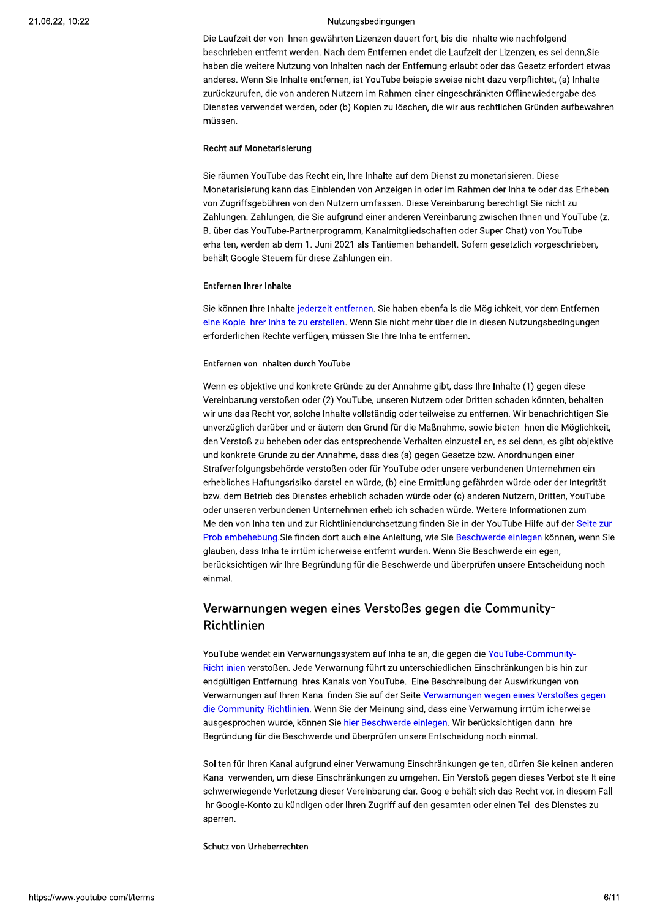Die Laufzeit der von Ihnen gewährten Lizenzen dauert fort, bis die Inhalte wie nachfolgend beschrieben entfernt werden. Nach dem Entfernen endet die Laufzeit der Lizenzen, es sei denn, Sie haben die weitere Nutzung von Inhalten nach der Entfernung erlaubt oder das Gesetz erfordert etwas anderes. Wenn Sie Inhalte entfernen, ist YouTube beispielsweise nicht dazu verpflichtet, (a) Inhalte zurückzurufen, die von anderen Nutzern im Rahmen einer eingeschränkten Offlinewiedergabe des Dienstes verwendet werden, oder (b) Kopien zu löschen, die wir aus rechtlichen Gründen aufbewahren müssen.

#### Recht auf Monetarisierung

Sie räumen YouTube das Recht ein, Ihre Inhalte auf dem Dienst zu monetarisieren. Diese Monetarisierung kann das Einblenden von Anzeigen in oder im Rahmen der Inhalte oder das Erheben von Zugriffsgebühren von den Nutzern umfassen. Diese Vereinbarung berechtigt Sie nicht zu Zahlungen. Zahlungen, die Sie aufgrund einer anderen Vereinbarung zwischen Ihnen und YouTube (z. B. über das YouTube-Partnerprogramm, Kanalmitgliedschaften oder Super Chat) von YouTube erhalten, werden ab dem 1. Juni 2021 als Tantiemen behandelt. Sofern gesetzlich vorgeschrieben, behält Google Steuern für diese Zahlungen ein.

#### **Entfernen Ihrer Inhalte**

Sie können Ihre Inhalte jederzeit entfernen. Sie haben ebenfalls die Möglichkeit, vor dem Entfernen eine Kopie Ihrer Inhalte zu erstellen. Wenn Sie nicht mehr über die in diesen Nutzungsbedingungen erforderlichen Rechte verfügen, müssen Sie Ihre Inhalte entfernen.

#### Entfernen von Inhalten durch YouTube

Wenn es objektive und konkrete Gründe zu der Annahme gibt, dass Ihre Inhalte (1) gegen diese Vereinbarung verstoßen oder (2) YouTube, unseren Nutzern oder Dritten schaden könnten, behalten wir uns das Recht vor, solche Inhalte vollständig oder teilweise zu entfernen. Wir benachrichtigen Sie unverzüglich darüber und erläutern den Grund für die Maßnahme, sowie bieten Ihnen die Möglichkeit, den Verstoß zu beheben oder das entsprechende Verhalten einzustellen, es sei denn, es gibt objektive und konkrete Gründe zu der Annahme, dass dies (a) gegen Gesetze bzw. Anordnungen einer Strafverfolgungsbehörde verstoßen oder für YouTube oder unsere verbundenen Unternehmen ein erhebliches Haftungsrisiko darstellen würde, (b) eine Ermittlung gefährden würde oder der Integrität bzw. dem Betrieb des Dienstes erheblich schaden würde oder (c) anderen Nutzern, Dritten, YouTube oder unseren verbundenen Unternehmen erheblich schaden würde. Weitere Informationen zum Melden von Inhalten und zur Richtliniendurchsetzung finden Sie in der YouTube-Hilfe auf der Seite zur Problembehebung. Sie finden dort auch eine Anleitung, wie Sie Beschwerde einlegen können, wenn Sie glauben, dass Inhalte irrtümlicherweise entfernt wurden. Wenn Sie Beschwerde einlegen, berücksichtigen wir Ihre Begründung für die Beschwerde und überprüfen unsere Entscheidung noch einmal.

# Verwarnungen wegen eines Verstoßes gegen die Community-**Richtlinien**

YouTube wendet ein Verwarnungssystem auf Inhalte an, die gegen die YouTube-Community-Richtlinien verstoßen. Jede Verwarnung führt zu unterschiedlichen Einschränkungen bis hin zur endgültigen Entfernung Ihres Kanals von YouTube. Eine Beschreibung der Auswirkungen von Verwarnungen auf Ihren Kanal finden Sie auf der Seite Verwarnungen wegen eines Verstoßes gegen die Community-Richtlinien. Wenn Sie der Meinung sind, dass eine Verwarnung irrtümlicherweise ausgesprochen wurde, können Sie hier Beschwerde einlegen. Wir berücksichtigen dann Ihre Begründung für die Beschwerde und überprüfen unsere Entscheidung noch einmal.

Sollten für Ihren Kanal aufgrund einer Verwarnung Einschränkungen gelten, dürfen Sie keinen anderen Kanal verwenden, um diese Einschränkungen zu umgehen. Ein Verstoß gegen dieses Verbot stellt eine schwerwiegende Verletzung dieser Vereinbarung dar. Google behält sich das Recht vor, in diesem Fall Ihr Google-Konto zu kündigen oder Ihren Zugriff auf den gesamten oder einen Teil des Dienstes zu sperren.

Schutz von Urheberrechten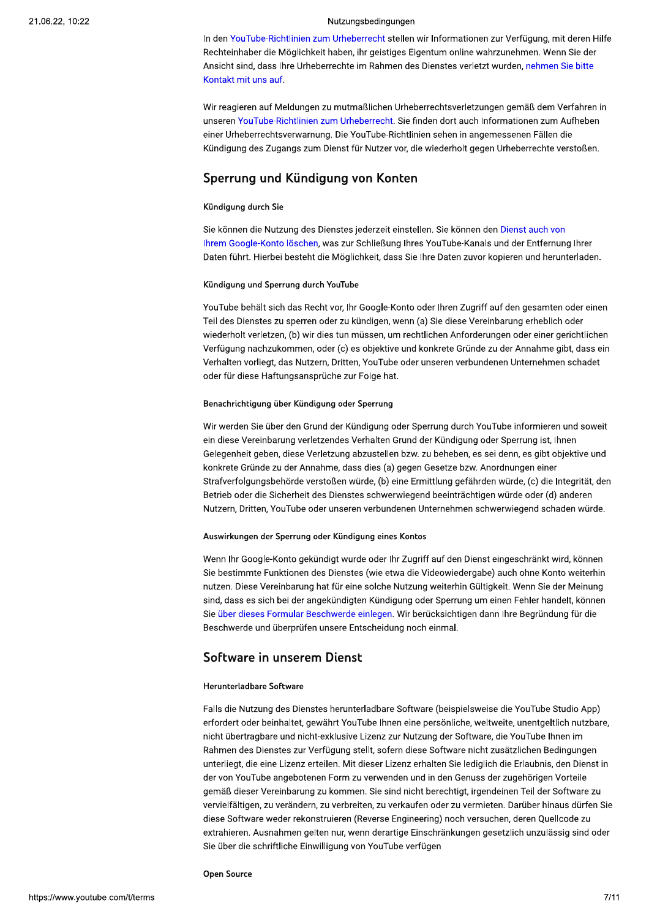In den YouTube-Richtlinien zum Urheberrecht stellen wir Informationen zur Verfügung, mit deren Hilfe Rechteinhaber die Möglichkeit haben, ihr geistiges Eigentum online wahrzunehmen. Wenn Sie der Ansicht sind, dass Ihre Urheberrechte im Rahmen des Dienstes verletzt wurden, nehmen Sie bitte Kontakt mit uns auf.

Wir reagieren auf Meldungen zu mutmaßlichen Urheberrechtsverletzungen gemäß dem Verfahren in unseren YouTube-Richtlinien zum Urheberrecht. Sie finden dort auch Informationen zum Aufheben einer Urheberrechtsverwarnung. Die YouTube-Richtlinien sehen in angemessenen Fällen die Kündigung des Zugangs zum Dienst für Nutzer vor, die wiederholt gegen Urheberrechte verstoßen.

# Sperrung und Kündigung von Konten

#### Kündigung durch Sie

Sie können die Nutzung des Dienstes jederzeit einstellen. Sie können den Dienst auch von Ihrem Google-Konto löschen, was zur Schließung Ihres YouTube-Kanals und der Entfernung Ihrer Daten führt. Hierbei besteht die Möglichkeit, dass Sie Ihre Daten zuvor kopieren und herunterladen.

#### Kündigung und Sperrung durch YouTube

YouTube behält sich das Recht vor, Ihr Google-Konto oder Ihren Zugriff auf den gesamten oder einen Teil des Dienstes zu sperren oder zu kündigen, wenn (a) Sie diese Vereinbarung erheblich oder wiederholt verletzen, (b) wir dies tun müssen, um rechtlichen Anforderungen oder einer gerichtlichen Verfügung nachzukommen, oder (c) es objektive und konkrete Gründe zu der Annahme gibt, dass ein Verhalten vorliegt, das Nutzern, Dritten, YouTube oder unseren verbundenen Unternehmen schadet oder für diese Haftungsansprüche zur Folge hat.

#### Benachrichtigung über Kündigung oder Sperrung

Wir werden Sie über den Grund der Kündigung oder Sperrung durch YouTube informieren und soweit ein diese Vereinbarung verletzendes Verhalten Grund der Kündigung oder Sperrung ist, Ihnen Gelegenheit geben, diese Verletzung abzustellen bzw. zu beheben, es sei denn, es gibt obiektive und konkrete Gründe zu der Annahme, dass dies (a) gegen Gesetze bzw. Anordnungen einer Strafverfolgungsbehörde verstoßen würde, (b) eine Ermittlung gefährden würde, (c) die Integrität, den Betrieb oder die Sicherheit des Dienstes schwerwiegend beeinträchtigen würde oder (d) anderen Nutzern, Dritten, YouTube oder unseren verbundenen Unternehmen schwerwiegend schaden würde.

#### Auswirkungen der Sperrung oder Kündigung eines Kontos

Wenn Ihr Google-Konto gekündigt wurde oder Ihr Zugriff auf den Dienst eingeschränkt wird, können Sie bestimmte Funktionen des Dienstes (wie etwa die Videowiedergabe) auch ohne Konto weiterhin nutzen. Diese Vereinbarung hat für eine solche Nutzung weiterhin Gültigkeit. Wenn Sie der Meinung sind, dass es sich bei der angekündigten Kündigung oder Sperrung um einen Fehler handelt, können Sie über dieses Formular Beschwerde einlegen. Wir berücksichtigen dann Ihre Begründung für die Beschwerde und überprüfen unsere Entscheidung noch einmal.

## Software in unserem Dienst

### **Herunterladbare Software**

Falls die Nutzung des Dienstes herunterladbare Software (beispielsweise die YouTube Studio App) erfordert oder beinhaltet, gewährt YouTube Ihnen eine persönliche, weltweite, unentgeltlich nutzbare, nicht übertragbare und nicht-exklusive Lizenz zur Nutzung der Software, die YouTube Ihnen im Rahmen des Dienstes zur Verfügung stellt, sofern diese Software nicht zusätzlichen Bedingungen unterliegt, die eine Lizenz erteilen. Mit dieser Lizenz erhalten Sie lediglich die Erlaubnis, den Dienst in der von YouTube angebotenen Form zu verwenden und in den Genuss der zugehörigen Vorteile gemäß dieser Vereinbarung zu kommen. Sie sind nicht berechtigt, irgendeinen Teil der Software zu vervielfältigen, zu verändern, zu verbreiten, zu verkaufen oder zu vermieten. Darüber hinaus dürfen Sie diese Software weder rekonstruieren (Reverse Engineering) noch versuchen, deren Quellcode zu extrahieren. Ausnahmen gelten nur, wenn derartige Einschränkungen gesetzlich unzulässig sind oder Sie über die schriftliche Einwilligung von YouTube verfügen

#### **Open Source**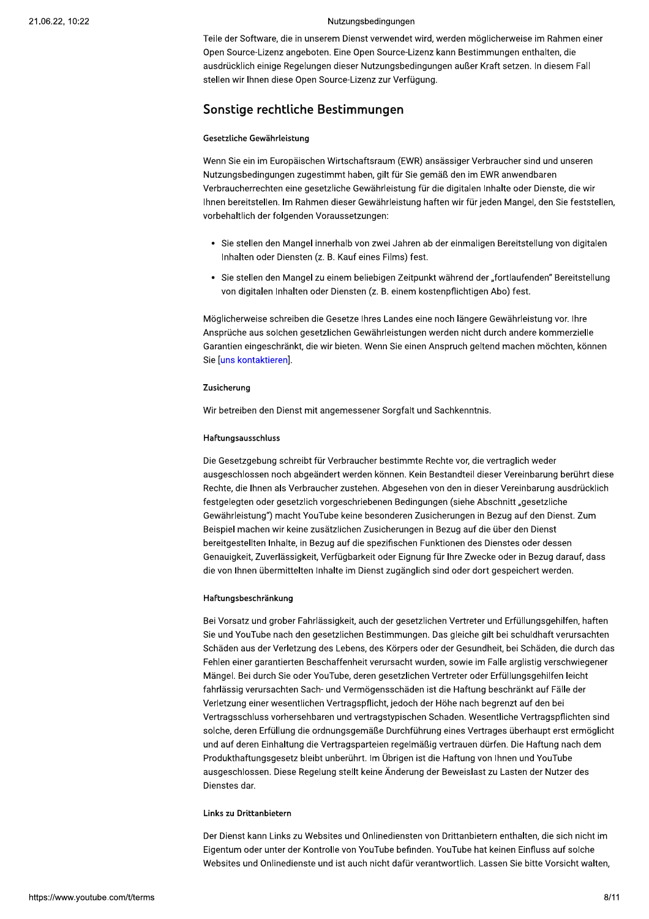Teile der Software, die in unserem Dienst verwendet wird, werden möglicherweise im Rahmen einer Open Source-Lizenz angeboten. Eine Open Source-Lizenz kann Bestimmungen enthalten, die ausdrücklich einige Regelungen dieser Nutzungsbedingungen außer Kraft setzen. In diesem Fall stellen wir Ihnen diese Open Source-Lizenz zur Verfügung.

# Sonstige rechtliche Bestimmungen

#### Gesetzliche Gewährleistung

Wenn Sie ein im Europäischen Wirtschaftsraum (EWR) ansässiger Verbraucher sind und unseren Nutzungsbedingungen zugestimmt haben, gilt für Sie gemäß den im EWR anwendbaren Verbraucherrechten eine gesetzliche Gewährleistung für die digitalen Inhalte oder Dienste, die wir Ihnen bereitstellen. Im Rahmen dieser Gewährleistung haften wir für jeden Mangel, den Sie feststellen, vorbehaltlich der folgenden Voraussetzungen:

- · Sie stellen den Mangel innerhalb von zwei Jahren ab der einmaligen Bereitstellung von digitalen Inhalten oder Diensten (z. B. Kauf eines Films) fest.
- · Sie stellen den Mangel zu einem beliebigen Zeitpunkt während der "fortlaufenden" Bereitstellung von digitalen Inhalten oder Diensten (z. B. einem kostenpflichtigen Abo) fest.

Möglicherweise schreiben die Gesetze Ihres Landes eine noch längere Gewährleistung vor. Ihre Ansprüche aus solchen gesetzlichen Gewährleistungen werden nicht durch andere kommerzielle Garantien eingeschränkt, die wir bieten. Wenn Sie einen Anspruch geltend machen möchten, können Sie [uns kontaktieren].

#### Zusicherung

Wir betreiben den Dienst mit angemessener Sorgfalt und Sachkenntnis.

#### Haftungsausschluss

Die Gesetzgebung schreibt für Verbraucher bestimmte Rechte vor, die vertraglich weder ausgeschlossen noch abgeändert werden können. Kein Bestandteil dieser Vereinbarung berührt diese Rechte, die Ihnen als Verbraucher zustehen. Abgesehen von den in dieser Vereinbarung ausdrücklich festgelegten oder gesetzlich vorgeschriebenen Bedingungen (siehe Abschnitt "gesetzliche Gewährleistung") macht YouTube keine besonderen Zusicherungen in Bezug auf den Dienst. Zum Beispiel machen wir keine zusätzlichen Zusicherungen in Bezug auf die über den Dienst bereitgestellten Inhalte, in Bezug auf die spezifischen Funktionen des Dienstes oder dessen Genauigkeit, Zuverlässigkeit, Verfügbarkeit oder Eignung für Ihre Zwecke oder in Bezug darauf, dass die von Ihnen übermittelten Inhalte im Dienst zugänglich sind oder dort gespeichert werden.

#### Haftungsbeschränkung

Bei Vorsatz und grober Fahrlässigkeit, auch der gesetzlichen Vertreter und Erfüllungsgehilfen, haften Sie und YouTube nach den gesetzlichen Bestimmungen. Das gleiche gilt bei schuldhaft verursachten Schäden aus der Verletzung des Lebens, des Körpers oder der Gesundheit, bei Schäden, die durch das Fehlen einer garantierten Beschaffenheit verursacht wurden, sowie im Falle arglistig verschwiegener Mängel. Bei durch Sie oder YouTube, deren gesetzlichen Vertreter oder Erfüllungsgehilfen leicht fahrlässig verursachten Sach- und Vermögensschäden ist die Haftung beschränkt auf Fälle der Verletzung einer wesentlichen Vertragspflicht, jedoch der Höhe nach begrenzt auf den bei Vertragsschluss vorhersehbaren und vertragstypischen Schaden. Wesentliche Vertragspflichten sind solche, deren Erfüllung die ordnungsgemäße Durchführung eines Vertrages überhaupt erst ermöglicht und auf deren Einhaltung die Vertragsparteien regelmäßig vertrauen dürfen. Die Haftung nach dem Produkthaftungsgesetz bleibt unberührt. Im Übrigen ist die Haftung von Ihnen und YouTube ausgeschlossen. Diese Regelung stellt keine Änderung der Beweislast zu Lasten der Nutzer des Dienstes dar.

### Links zu Drittanbietern

Der Dienst kann Links zu Websites und Onlinediensten von Drittanbietern enthalten, die sich nicht im Eigentum oder unter der Kontrolle von YouTube befinden. YouTube hat keinen Einfluss auf solche Websites und Onlinedienste und ist auch nicht dafür verantwortlich. Lassen Sie bitte Vorsicht walten,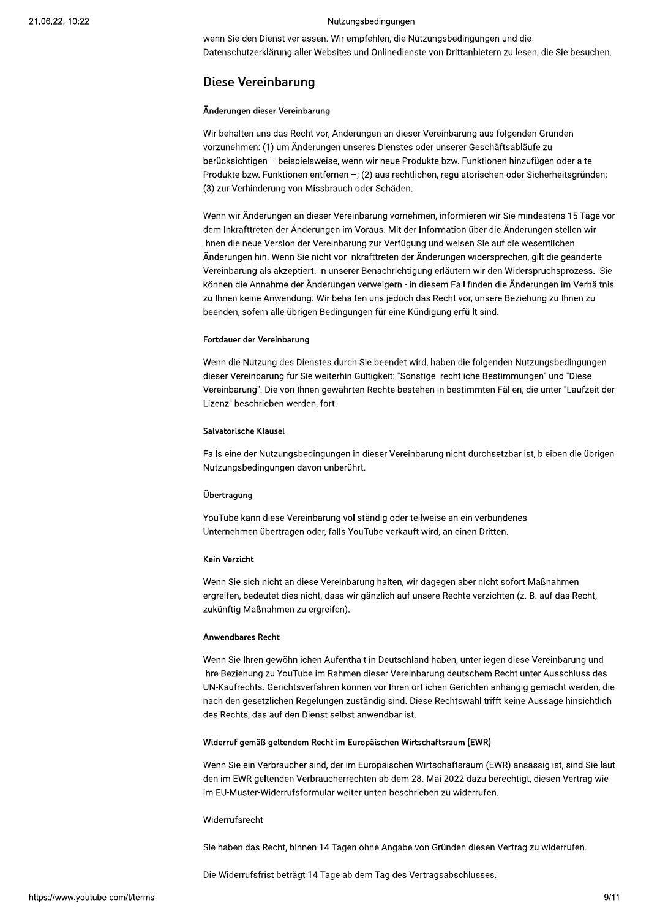Notice particle to the control of the main state of the content of the content of the content of the content of the content of the content of the content of the content of the content of the content of the content of the c

#### Widerruf gemäß geltendem Recht im Europäischen Wirtschaftsraum (EWR)

Wenn Sie ein Verbraucher sind, der im Europäischen Wirtschaftsraum (EWR) ansässig ist, sind Sie laut den im EWR geltenden Verbraucherrechten ab dem 28. Mai 2022 dazu berechtigt, diesen Vertrag wie im EU-Muster-Widerrufsformular weiter unten beschrieben zu widerrufen. Wenn Sie ein Verbraucher sind, der im Europäischen Wirtschaftsraum (EWR) ansässig ist, sind Si<br>den im EWR geltenden Verbraucherrechten ab dem 28. Mai 2022 dazu berechtigt, diesen Vertrag<br>im EU-Muster-Widerrufsformular weit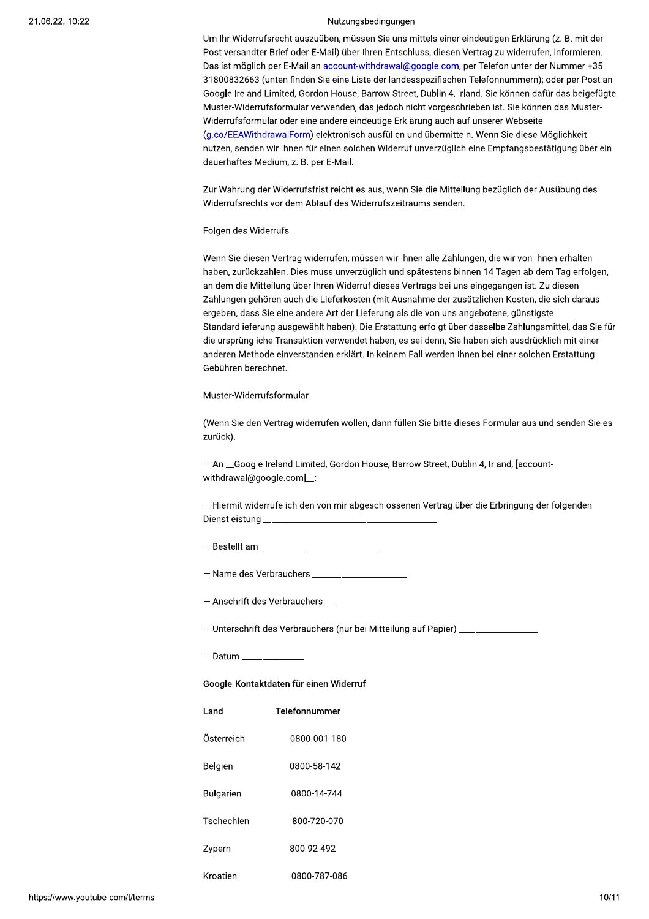Um Ihr Widerrufsrecht auszuüben, müssen Sie uns mittels einer eindeutigen Erklärung (z. B. mit der Post versandter Brief oder E-Mail) über Ihren Entschluss, diesen Vertrag zu widerrufen, informieren. Das ist möglich per E-Mail an account-withdrawal@google.com, per Telefon unter der Nummer +35 31800832663 (unten finden Sie eine Liste der landesspezifischen Telefonnummern); oder per Post an Google Ireland Limited, Gordon House, Barrow Street, Dublin 4, Irland. Sie können dafür das beigefügte Muster-Widerrufsformular verwenden, das jedoch nicht vorgeschrieben ist. Sie können das Muster-Widerrufsformular oder eine andere eindeutige Erklärung auch auf unserer Webseite (g.co/EEAWithdrawalForm) elektronisch ausfüllen und übermitteln. Wenn Sie diese Möglichkeit nutzen, senden wir Ihnen für einen solchen Widerruf unverzüglich eine Empfangsbestätigung über ein dauerhaftes Medium, z. B. per E-Mail.

Zur Wahrung der Widerrufsfrist reicht es aus, wenn Sie die Mitteilung bezüglich der Ausübung des Widerrufsrechts vor dem Ablauf des Widerrufszeitraums senden.

#### Folgen des Widerrufs

Wenn Sie diesen Vertrag widerrufen, müssen wir Ihnen alle Zahlungen, die wir von Ihnen erhalten haben, zurückzahlen. Dies muss unverzüglich und spätestens binnen 14 Tagen ab dem Tag erfolgen, an dem die Mitteilung über Ihren Widerruf dieses Vertrags bei uns eingegangen ist. Zu diesen Zahlungen gehören auch die Lieferkosten (mit Ausnahme der zusätzlichen Kosten, die sich daraus ergeben, dass Sie eine andere Art der Lieferung als die von uns angebotene, günstigste Standardlieferung ausgewählt haben). Die Erstattung erfolgt über dasselbe Zahlungsmittel, das Sie für die ursprüngliche Transaktion verwendet haben, es sei denn, Sie haben sich ausdrücklich mit einer anderen Methode einverstanden erklärt. In keinem Fall werden Ihnen bei einer solchen Erstattung Gebühren berechnet.

### Muster-Widerrufsformular

(Wenn Sie den Vertrag widerrufen wollen, dann füllen Sie bitte dieses Formular aus und senden Sie es zurück).

- An \_Google Ireland Limited, Gordon House, Barrow Street, Dublin 4, Irland, [accountwithdrawal@google.com]\_:

- Hiermit widerrufe ich den von mir abgeschlossenen Vertrag über die Erbringung der folgenden Dienstleistung

 $-$  Bestellt am  $-$ 

- Name des Verbrauchers \_\_

| - Anschrift des Verbrauchers |  |
|------------------------------|--|
|------------------------------|--|

- Unterschrift des Verbrauchers (nur bei Mitteilung auf Papier) \_

— Datum

Google-Kontaktdaten für einen Widerruf

| l and            | Telefonnummer |
|------------------|---------------|
| Österreich       | 0800-001-180  |
| Belgien          | 0800-58-142   |
| <b>Bulgarien</b> | 0800-14-744   |
| Tschechien       | 800-720-070   |
| Zypern           | 800-92-492    |
| Kroatien         | 0800-787-086  |